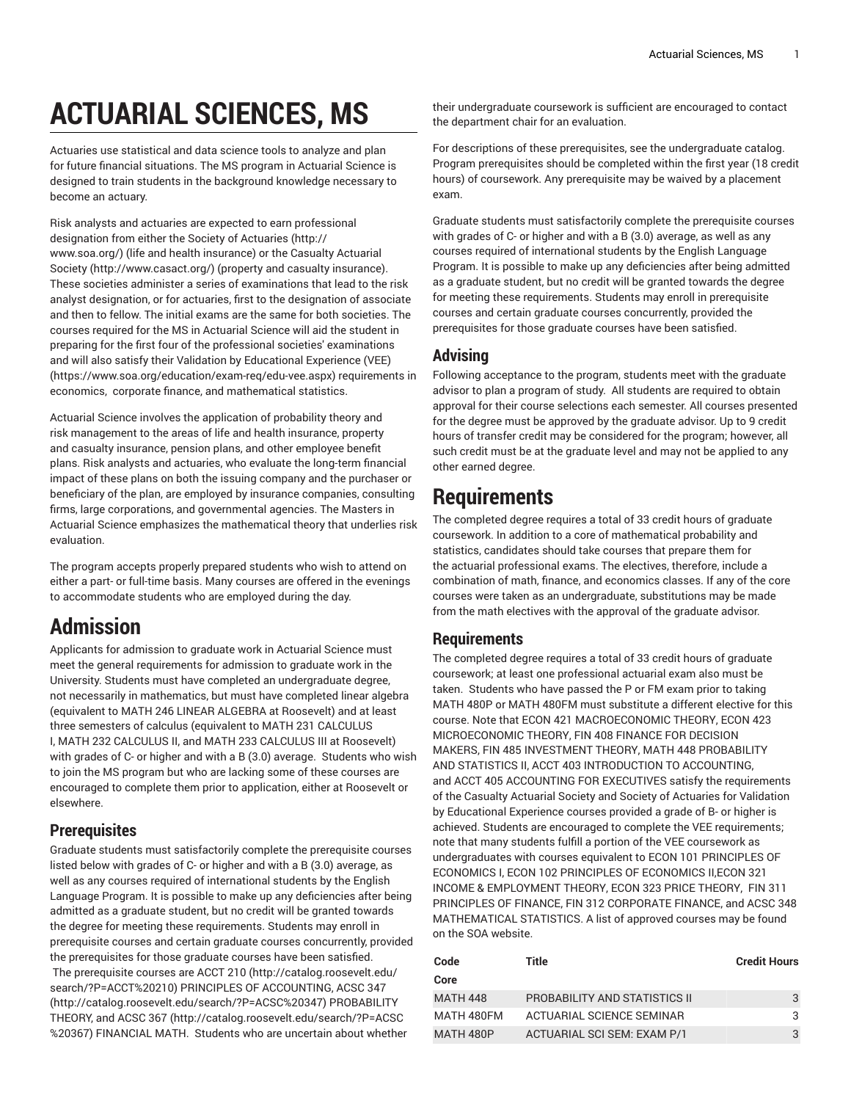# **ACTUARIAL SCIENCES, MS**

Actuaries use statistical and data science tools to analyze and plan for future financial situations. The MS program in Actuarial Science is designed to train students in the background knowledge necessary to become an actuary.

Risk analysts and actuaries are expected to earn professional designation from either the [Society of Actuaries \(http://](http://www.soa.org/) [www.soa.org/](http://www.soa.org/)) (life and health insurance) or the [Casualty Actuarial](http://www.casact.org/) [Society \(http://www.casact.org/\)](http://www.casact.org/) (property and casualty insurance). These societies administer a series of examinations that lead to the risk analyst designation, or for actuaries, first to the designation of associate and then to fellow. The initial exams are the same for both societies. The courses required for the MS in Actuarial Science will aid the student in preparing for the first four of the professional societies' examinations and will also satisfy their Validation by [Educational](https://www.soa.org/education/exam-req/edu-vee.aspx) Experience (VEE) (<https://www.soa.org/education/exam-req/edu-vee.aspx>) requirements in economics, corporate finance, and mathematical statistics.

Actuarial Science involves the application of probability theory and risk management to the areas of life and health insurance, property and casualty insurance, pension plans, and other employee benefit plans. Risk analysts and actuaries, who evaluate the long-term financial impact of these plans on both the issuing company and the purchaser or beneficiary of the plan, are employed by insurance companies, consulting firms, large corporations, and governmental agencies. The Masters in Actuarial Science emphasizes the mathematical theory that underlies risk evaluation.

The program accepts properly prepared students who wish to attend on either a part- or full-time basis. Many courses are offered in the evenings to accommodate students who are employed during the day.

## **Admission**

Applicants for admission to graduate work in Actuarial Science must meet the general requirements for admission to graduate work in the University. Students must have completed an undergraduate degree, not necessarily in mathematics, but must have completed linear algebra (equivalent to [MATH](/search/?P=MATH%20246) 246 LINEAR ALGEBRA at Roosevelt) and at least three semesters of calculus (equivalent to [MATH](/search/?P=MATH%20231) 231 CALCULUS I, [MATH](/search/?P=MATH%20232) 232 CALCULUS II, and [MATH](/search/?P=MATH%20233) 233 CALCULUS III at Roosevelt) with grades of C- or higher and with a B (3.0) average. Students who wish to join the MS program but who are lacking some of these courses are encouraged to complete them prior to application, either at Roosevelt or elsewhere.

#### **Prerequisites**

Graduate students must satisfactorily complete the prerequisite courses listed below with grades of C- or higher and with a B (3.0) average, as well as any courses required of international students by the English Language Program. It is possible to make up any deficiencies after being admitted as a graduate student, but no credit will be granted towards the degree for meeting these requirements. Students may enroll in prerequisite courses and certain graduate courses concurrently, provided the prerequisites for those graduate courses have been satisfied. The prerequisite courses are [ACCT](http://catalog.roosevelt.edu/search/?P=ACCT%20210) 210 ([http://catalog.roosevelt.edu/](http://catalog.roosevelt.edu/search/?P=ACCT%20210) [search/?P=ACCT%20210](http://catalog.roosevelt.edu/search/?P=ACCT%20210)) PRINCIPLES OF ACCOUNTING, [ACSC 347](http://catalog.roosevelt.edu/search/?P=ACSC%20347) (<http://catalog.roosevelt.edu/search/?P=ACSC%20347>) PROBABILITY THEORY, and [ACSC 367](http://catalog.roosevelt.edu/search/?P=ACSC%20367) [\(http://catalog.roosevelt.edu/search/?P=ACSC](http://catalog.roosevelt.edu/search/?P=ACSC%20367) [%20367](http://catalog.roosevelt.edu/search/?P=ACSC%20367)) FINANCIAL MATH. Students who are uncertain about whether

their undergraduate coursework is sufficient are encouraged to contact the department chair for an evaluation.

For descriptions of these prerequisites, see the undergraduate catalog. Program prerequisites should be completed within the first year (18 credit hours) of coursework. Any prerequisite may be waived by a placement exam.

Graduate students must satisfactorily complete the prerequisite courses with grades of C- or higher and with a B (3.0) average, as well as any courses required of international students by the English Language Program. It is possible to make up any deficiencies after being admitted as a graduate student, but no credit will be granted towards the degree for meeting these requirements. Students may enroll in prerequisite courses and certain graduate courses concurrently, provided the prerequisites for those graduate courses have been satisfied.

### **Advising**

Following acceptance to the program, students meet with the graduate advisor to plan a program of study. All students are required to obtain approval for their course selections each semester. All courses presented for the degree must be approved by the graduate advisor. Up to 9 credit hours of transfer credit may be considered for the program; however, all such credit must be at the graduate level and may not be applied to any other earned degree.

## **Requirements**

The completed degree requires a total of 33 credit hours of graduate coursework. In addition to a core of mathematical probability and statistics, candidates should take courses that prepare them for the actuarial professional exams. The electives, therefore, include a combination of math, finance, and economics classes. If any of the core courses were taken as an undergraduate, substitutions may be made from the math electives with the approval of the graduate advisor.

#### **Requirements**

The completed degree requires a total of 33 credit hours of graduate coursework; at least one professional actuarial exam also must be taken. Students who have passed the P or FM exam prior to taking MATH 480P or MATH 480FM must substitute a different elective for this course. Note that ECON 421 MACROECONOMIC THEORY, ECON 423 MICROECONOMIC THEORY, FIN 408 FINANCE FOR DECISION MAKERS, FIN 485 INVESTMENT THEORY, MATH 448 PROBABILITY AND STATISTICS II, ACCT 403 INTRODUCTION TO ACCOUNTING, and ACCT 405 ACCOUNTING FOR EXECUTIVES satisfy the requirements of the Casualty Actuarial Society and Society of Actuaries for Validation by Educational Experience courses provided a grade of B- or higher is achieved. Students are encouraged to complete the VEE requirements; note that many students fulfill a portion of the VEE coursework as undergraduates with courses equivalent to ECON 101 PRINCIPLES OF ECONOMICS I, ECON 102 PRINCIPLES OF ECONOMICS II,ECON 321 INCOME & EMPLOYMENT THEORY, ECON 323 PRICE THEORY, FIN 311 PRINCIPLES OF FINANCE, FIN 312 CORPORATE FINANCE, and ACSC 348 MATHEMATICAL STATISTICS. A list of approved courses may be found on the SOA website.

| Code             | Title                                | <b>Credit Hours</b> |
|------------------|--------------------------------------|---------------------|
| Core             |                                      |                     |
| <b>MATH 448</b>  | <b>PROBABILITY AND STATISTICS II</b> | 3                   |
| MATH 480FM       | ACTUARIAL SCIENCE SEMINAR            | 3                   |
| <b>MATH 480P</b> | ACTUARIAL SCI SEM: EXAM P/1          | 3                   |